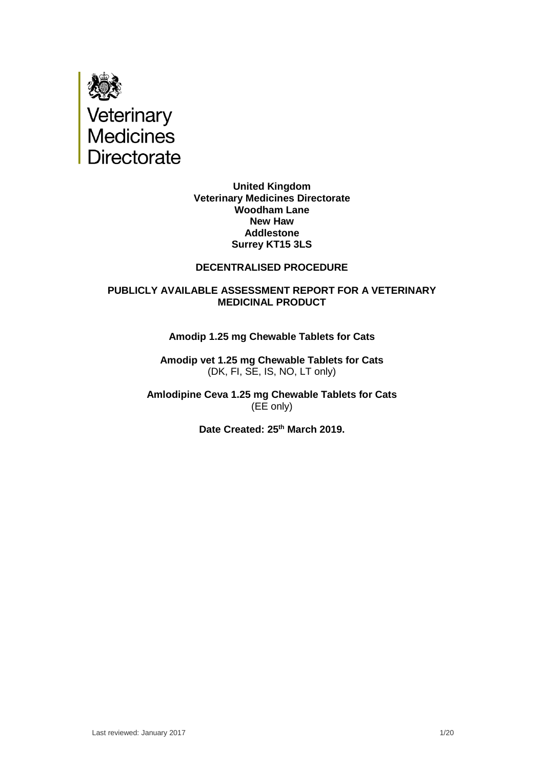

**United Kingdom Veterinary Medicines Directorate Woodham Lane New Haw Addlestone Surrey KT15 3LS**

#### **DECENTRALISED PROCEDURE**

#### **PUBLICLY AVAILABLE ASSESSMENT REPORT FOR A VETERINARY MEDICINAL PRODUCT**

#### **Amodip 1.25 mg Chewable Tablets for Cats**

**Amodip vet 1.25 mg Chewable Tablets for Cats**  (DK, FI, SE, IS, NO, LT only)

**Amlodipine Ceva 1.25 mg Chewable Tablets for Cats**  (EE only)

**Date Created: 25th March 2019.**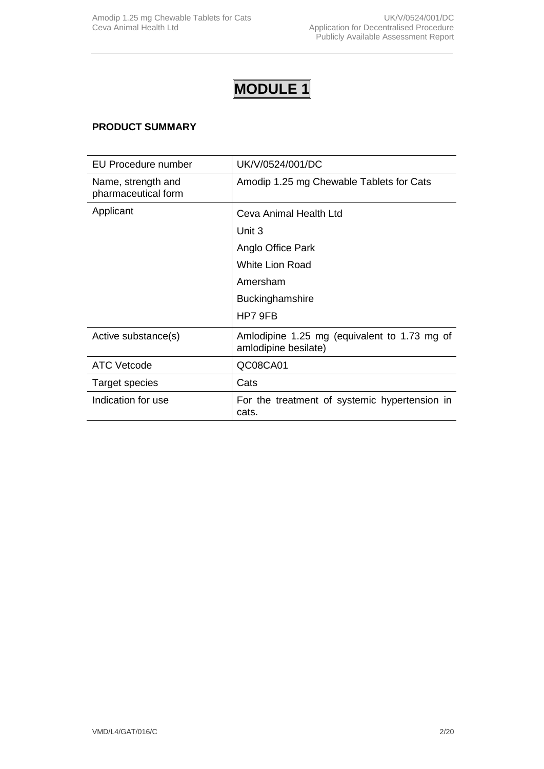# **MODULE 1**

## **PRODUCT SUMMARY**

| EU Procedure number                       | UK/V/0524/001/DC                                                     |
|-------------------------------------------|----------------------------------------------------------------------|
| Name, strength and<br>pharmaceutical form | Amodip 1.25 mg Chewable Tablets for Cats                             |
| Applicant                                 | Ceva Animal Health Ltd                                               |
|                                           | Unit 3                                                               |
|                                           | Anglo Office Park                                                    |
|                                           | <b>White Lion Road</b>                                               |
|                                           | Amersham                                                             |
|                                           | <b>Buckinghamshire</b>                                               |
|                                           | HP7 9FB                                                              |
| Active substance(s)                       | Amlodipine 1.25 mg (equivalent to 1.73 mg of<br>amlodipine besilate) |
| <b>ATC Vetcode</b>                        | QC08CA01                                                             |
| <b>Target species</b>                     | Cats                                                                 |
| Indication for use                        | For the treatment of systemic hypertension in<br>cats.               |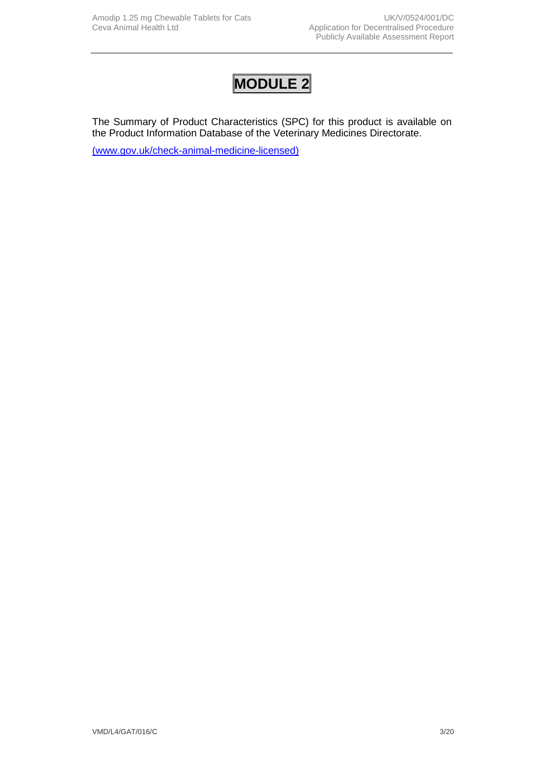## **MODULE 2**

The Summary of Product Characteristics (SPC) for this product is available on the Product Information Database of the Veterinary Medicines Directorate.

[\(www.gov.uk/check-animal-medicine-licensed\)](https://www.gov.uk/check-animal-medicine-licensed)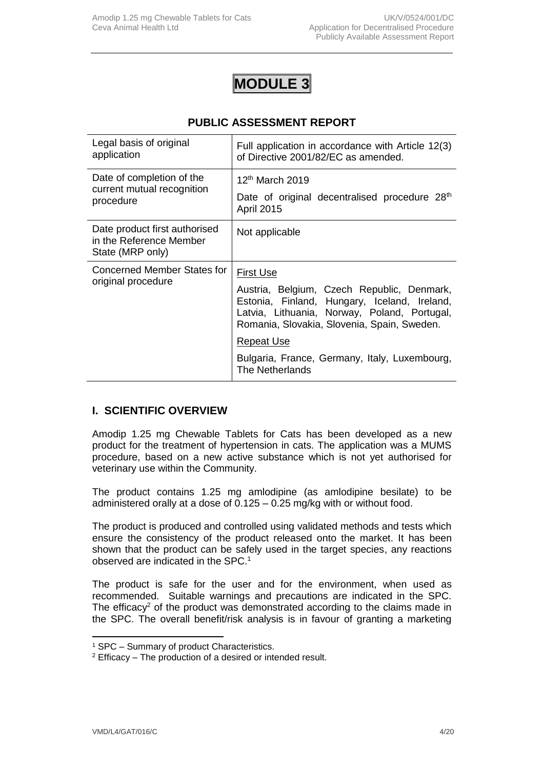## **MODULE 3**

## **PUBLIC ASSESSMENT REPORT**

| Legal basis of original<br>application                                       | Full application in accordance with Article 12(3)<br>of Directive 2001/82/EC as amended.                                                                                                  |
|------------------------------------------------------------------------------|-------------------------------------------------------------------------------------------------------------------------------------------------------------------------------------------|
| Date of completion of the<br>current mutual recognition<br>procedure         | 12 <sup>th</sup> March 2019                                                                                                                                                               |
|                                                                              | Date of original decentralised procedure 28 <sup>th</sup><br><b>April 2015</b>                                                                                                            |
| Date product first authorised<br>in the Reference Member<br>State (MRP only) | Not applicable                                                                                                                                                                            |
| Concerned Member States for<br>original procedure                            | <b>First Use</b>                                                                                                                                                                          |
|                                                                              | Austria, Belgium, Czech Republic, Denmark,<br>Estonia, Finland, Hungary, Iceland, Ireland,<br>Latvia, Lithuania, Norway, Poland, Portugal,<br>Romania, Slovakia, Slovenia, Spain, Sweden. |
|                                                                              | <b>Repeat Use</b>                                                                                                                                                                         |
|                                                                              | Bulgaria, France, Germany, Italy, Luxembourg,<br>The Netherlands                                                                                                                          |

## **I. SCIENTIFIC OVERVIEW**

Amodip 1.25 mg Chewable Tablets for Cats has been developed as a new product for the treatment of hypertension in cats. The application was a MUMS procedure, based on a new active substance which is not yet authorised for veterinary use within the Community.

The product contains 1.25 mg amlodipine (as amlodipine besilate) to be administered orally at a dose of 0.125 – 0.25 mg/kg with or without food.

The product is produced and controlled using validated methods and tests which ensure the consistency of the product released onto the market. It has been shown that the product can be safely used in the target species, any reactions observed are indicated in the SPC.<sup>1</sup>

The product is safe for the user and for the environment, when used as recommended. Suitable warnings and precautions are indicated in the SPC. The efficacy<sup>2</sup> of the product was demonstrated according to the claims made in the SPC. The overall benefit/risk analysis is in favour of granting a marketing

<sup>1</sup> SPC – Summary of product Characteristics.

<sup>2</sup> Efficacy – The production of a desired or intended result.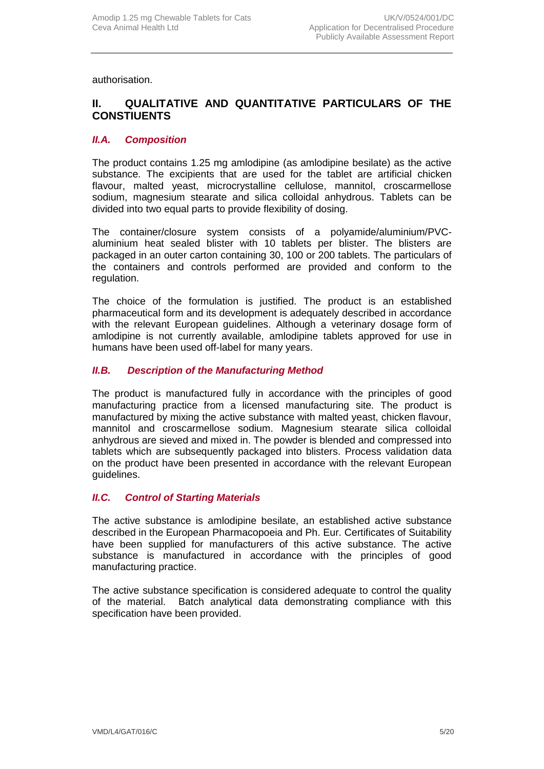authorisation.

## **II. QUALITATIVE AND QUANTITATIVE PARTICULARS OF THE CONSTIUENTS**

## *II.A. Composition*

The product contains 1.25 mg amlodipine (as amlodipine besilate) as the active substance. The excipients that are used for the tablet are artificial chicken flavour, malted yeast, microcrystalline cellulose, mannitol, croscarmellose sodium, magnesium stearate and silica colloidal anhydrous. Tablets can be divided into two equal parts to provide flexibility of dosing.

The container/closure system consists of a polyamide/aluminium/PVCaluminium heat sealed blister with 10 tablets per blister. The blisters are packaged in an outer carton containing 30, 100 or 200 tablets. The particulars of the containers and controls performed are provided and conform to the regulation.

The choice of the formulation is justified. The product is an established pharmaceutical form and its development is adequately described in accordance with the relevant European guidelines. Although a veterinary dosage form of amlodipine is not currently available, amlodipine tablets approved for use in humans have been used off-label for many years.

## *II.B. Description of the Manufacturing Method*

The product is manufactured fully in accordance with the principles of good manufacturing practice from a licensed manufacturing site*.* The product is manufactured by mixing the active substance with malted yeast, chicken flavour, mannitol and croscarmellose sodium. Magnesium stearate silica colloidal anhydrous are sieved and mixed in. The powder is blended and compressed into tablets which are subsequently packaged into blisters. Process validation data on the product have been presented in accordance with the relevant European guidelines.

## *II.C. Control of Starting Materials*

The active substance is amlodipine besilate, an established active substance described in the European Pharmacopoeia and Ph. Eur. Certificates of Suitability have been supplied for manufacturers of this active substance. The active substance is manufactured in accordance with the principles of good manufacturing practice.

The active substance specification is considered adequate to control the quality of the material. Batch analytical data demonstrating compliance with this specification have been provided.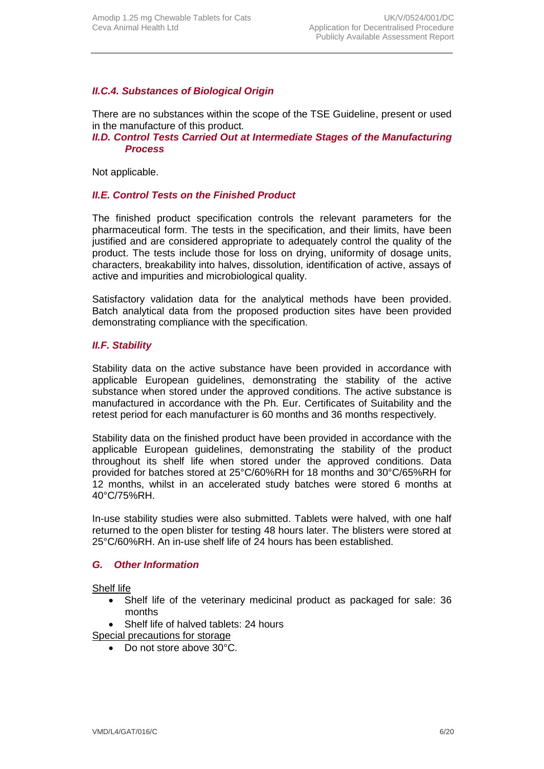## *II.C.4. Substances of Biological Origin*

There are no substances within the scope of the TSE Guideline, present or used in the manufacture of this product*.*

#### *II.D. Control Tests Carried Out at Intermediate Stages of the Manufacturing Process*

Not applicable.

## *II.E. Control Tests on the Finished Product*

The finished product specification controls the relevant parameters for the pharmaceutical form. The tests in the specification, and their limits, have been justified and are considered appropriate to adequately control the quality of the product. The tests include those for loss on drying, uniformity of dosage units, characters, breakability into halves, dissolution, identification of active, assays of active and impurities and microbiological quality.

Satisfactory validation data for the analytical methods have been provided. Batch analytical data from the proposed production sites have been provided demonstrating compliance with the specification.

## *II.F. Stability*

Stability data on the active substance have been provided in accordance with applicable European guidelines, demonstrating the stability of the active substance when stored under the approved conditions. The active substance is manufactured in accordance with the Ph. Eur. Certificates of Suitability and the retest period for each manufacturer is 60 months and 36 months respectively.

Stability data on the finished product have been provided in accordance with the applicable European guidelines, demonstrating the stability of the product throughout its shelf life when stored under the approved conditions. Data provided for batches stored at 25°C/60%RH for 18 months and 30°C/65%RH for 12 months, whilst in an accelerated study batches were stored 6 months at 40°C/75%RH.

In-use stability studies were also submitted. Tablets were halved, with one half returned to the open blister for testing 48 hours later. The blisters were stored at 25°C/60%RH. An in-use shelf life of 24 hours has been established.

#### *G. Other Information*

#### Shelf life

• Shelf life of the veterinary medicinal product as packaged for sale: 36 months

Shelf life of halved tablets: 24 hours

- Special precautions for storage
	- Do not store above 30°C.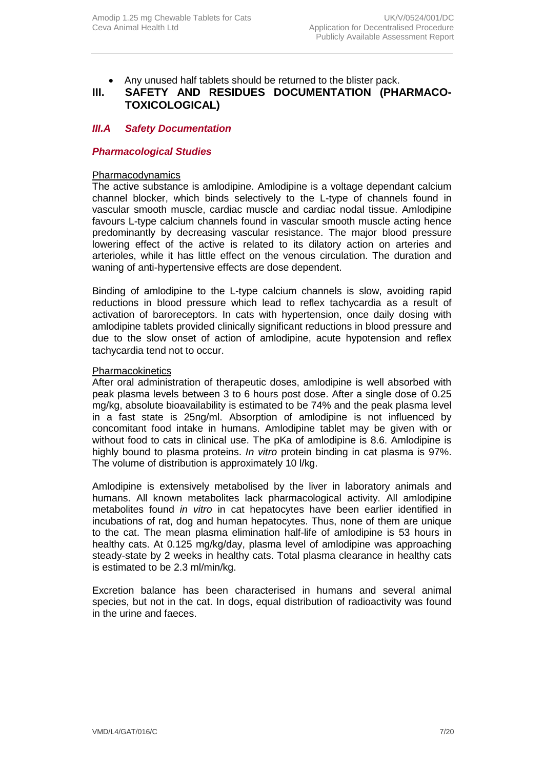Any unused half tablets should be returned to the blister pack.

## **III. SAFETY AND RESIDUES DOCUMENTATION (PHARMACO-TOXICOLOGICAL)**

## *III.A Safety Documentation*

#### *Pharmacological Studies*

#### Pharmacodynamics

The active substance is amlodipine. Amlodipine is a voltage dependant calcium channel blocker, which binds selectively to the L-type of channels found in vascular smooth muscle, cardiac muscle and cardiac nodal tissue. Amlodipine favours L-type calcium channels found in vascular smooth muscle acting hence predominantly by decreasing vascular resistance. The major blood pressure lowering effect of the active is related to its dilatory action on arteries and arterioles, while it has little effect on the venous circulation. The duration and waning of anti-hypertensive effects are dose dependent.

Binding of amlodipine to the L-type calcium channels is slow, avoiding rapid reductions in blood pressure which lead to reflex tachycardia as a result of activation of baroreceptors. In cats with hypertension, once daily dosing with amlodipine tablets provided clinically significant reductions in blood pressure and due to the slow onset of action of amlodipine, acute hypotension and reflex tachycardia tend not to occur.

#### **Pharmacokinetics**

After oral administration of therapeutic doses, amlodipine is well absorbed with peak plasma levels between 3 to 6 hours post dose. After a single dose of 0.25 mg/kg, absolute bioavailability is estimated to be 74% and the peak plasma level in a fast state is 25ng/ml. Absorption of amlodipine is not influenced by concomitant food intake in humans. Amlodipine tablet may be given with or without food to cats in clinical use. The pKa of amlodipine is 8.6. Amlodipine is highly bound to plasma proteins. *In vitro* protein binding in cat plasma is 97%. The volume of distribution is approximately 10 l/kg.

Amlodipine is extensively metabolised by the liver in laboratory animals and humans. All known metabolites lack pharmacological activity. All amlodipine metabolites found *in vitro* in cat hepatocytes have been earlier identified in incubations of rat, dog and human hepatocytes. Thus, none of them are unique to the cat. The mean plasma elimination half-life of amlodipine is 53 hours in healthy cats. At 0.125 mg/kg/day, plasma level of amlodipine was approaching steady-state by 2 weeks in healthy cats. Total plasma clearance in healthy cats is estimated to be 2.3 ml/min/kg.

Excretion balance has been characterised in humans and several animal species, but not in the cat. In dogs, equal distribution of radioactivity was found in the urine and faeces.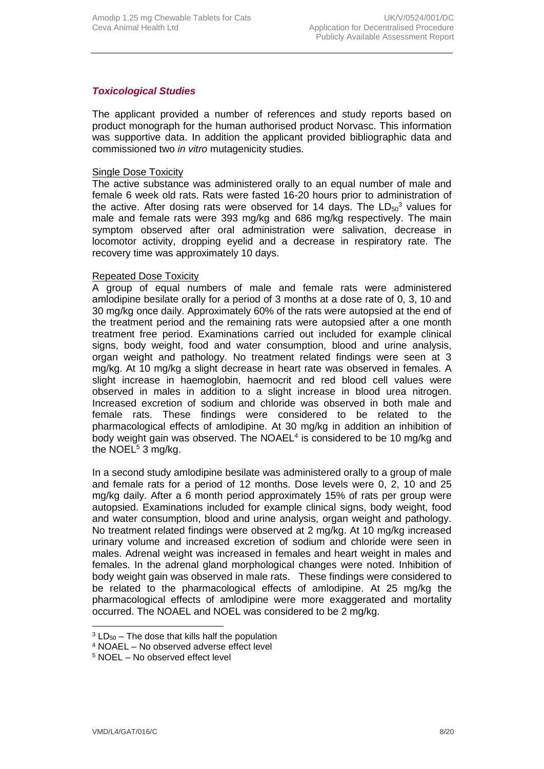## *Toxicological Studies*

The applicant provided a number of references and study reports based on product monograph for the human authorised product Norvasc. This information was supportive data. In addition the applicant provided bibliographic data and commissioned two *in vitro* mutagenicity studies.

#### Single Dose Toxicity

The active substance was administered orally to an equal number of male and female 6 week old rats. Rats were fasted 16-20 hours prior to administration of the active. After dosing rats were observed for 14 days. The  $LD_{50}^3$  values for male and female rats were 393 mg/kg and 686 mg/kg respectively. The main symptom observed after oral administration were salivation, decrease in locomotor activity, dropping eyelid and a decrease in respiratory rate. The recovery time was approximately 10 days.

#### Repeated Dose Toxicity

A group of equal numbers of male and female rats were administered amlodipine besilate orally for a period of 3 months at a dose rate of 0, 3, 10 and 30 mg/kg once daily. Approximately 60% of the rats were autopsied at the end of the treatment period and the remaining rats were autopsied after a one month treatment free period. Examinations carried out included for example clinical signs, body weight, food and water consumption, blood and urine analysis, organ weight and pathology. No treatment related findings were seen at 3 mg/kg. At 10 mg/kg a slight decrease in heart rate was observed in females. A slight increase in haemoglobin, haemocrit and red blood cell values were observed in males in addition to a slight increase in blood urea nitrogen. Increased excretion of sodium and chloride was observed in both male and female rats. These findings were considered to be related to the pharmacological effects of amlodipine. At 30 mg/kg in addition an inhibition of body weight gain was observed. The NOAEL<sup>4</sup> is considered to be 10 mg/kg and the NOEL $5$  3 mg/kg.

In a second study amlodipine besilate was administered orally to a group of male and female rats for a period of 12 months. Dose levels were 0, 2, 10 and 25 mg/kg daily. After a 6 month period approximately 15% of rats per group were autopsied. Examinations included for example clinical signs, body weight, food and water consumption, blood and urine analysis, organ weight and pathology. No treatment related findings were observed at 2 mg/kg. At 10 mg/kg increased urinary volume and increased excretion of sodium and chloride were seen in males. Adrenal weight was increased in females and heart weight in males and females. In the adrenal gland morphological changes were noted. Inhibition of body weight gain was observed in male rats. These findings were considered to be related to the pharmacological effects of amlodipine. At 25 mg/kg the pharmacological effects of amlodipine were more exaggerated and mortality occurred. The NOAEL and NOEL was considered to be 2 mg/kg.

 $3$  LD<sub>50</sub> – The dose that kills half the population

<sup>4</sup> NOAEL – No observed adverse effect level

<sup>5</sup> NOEL – No observed effect level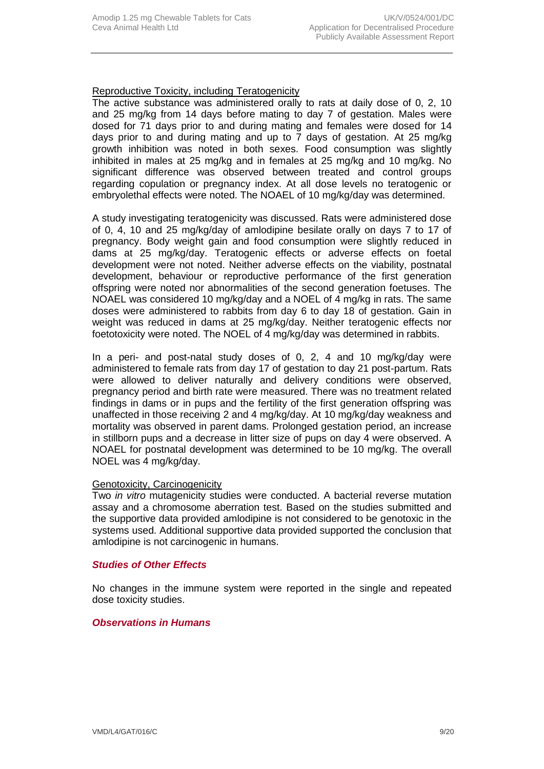## Reproductive Toxicity, including Teratogenicity

The active substance was administered orally to rats at daily dose of 0, 2, 10 and 25 mg/kg from 14 days before mating to day 7 of gestation. Males were dosed for 71 days prior to and during mating and females were dosed for 14 days prior to and during mating and up to 7 days of gestation. At 25 mg/kg growth inhibition was noted in both sexes. Food consumption was slightly inhibited in males at 25 mg/kg and in females at 25 mg/kg and 10 mg/kg. No significant difference was observed between treated and control groups regarding copulation or pregnancy index. At all dose levels no teratogenic or embryolethal effects were noted. The NOAEL of 10 mg/kg/day was determined.

A study investigating teratogenicity was discussed. Rats were administered dose of 0, 4, 10 and 25 mg/kg/day of amlodipine besilate orally on days 7 to 17 of pregnancy. Body weight gain and food consumption were slightly reduced in dams at 25 mg/kg/day. Teratogenic effects or adverse effects on foetal development were not noted. Neither adverse effects on the viability, postnatal development, behaviour or reproductive performance of the first generation offspring were noted nor abnormalities of the second generation foetuses. The NOAEL was considered 10 mg/kg/day and a NOEL of 4 mg/kg in rats. The same doses were administered to rabbits from day 6 to day 18 of gestation. Gain in weight was reduced in dams at 25 mg/kg/day. Neither teratogenic effects nor foetotoxicity were noted. The NOEL of 4 mg/kg/day was determined in rabbits.

In a peri- and post-natal study doses of 0, 2, 4 and 10 mg/kg/day were administered to female rats from day 17 of gestation to day 21 post-partum. Rats were allowed to deliver naturally and delivery conditions were observed, pregnancy period and birth rate were measured. There was no treatment related findings in dams or in pups and the fertility of the first generation offspring was unaffected in those receiving 2 and 4 mg/kg/day. At 10 mg/kg/day weakness and mortality was observed in parent dams. Prolonged gestation period, an increase in stillborn pups and a decrease in litter size of pups on day 4 were observed. A NOAEL for postnatal development was determined to be 10 mg/kg. The overall NOEL was 4 mg/kg/day.

#### Genotoxicity, Carcinogenicity

Two *in vitro* mutagenicity studies were conducted. A bacterial reverse mutation assay and a chromosome aberration test. Based on the studies submitted and the supportive data provided amlodipine is not considered to be genotoxic in the systems used. Additional supportive data provided supported the conclusion that amlodipine is not carcinogenic in humans.

#### *Studies of Other Effects*

No changes in the immune system were reported in the single and repeated dose toxicity studies.

## *Observations in Humans*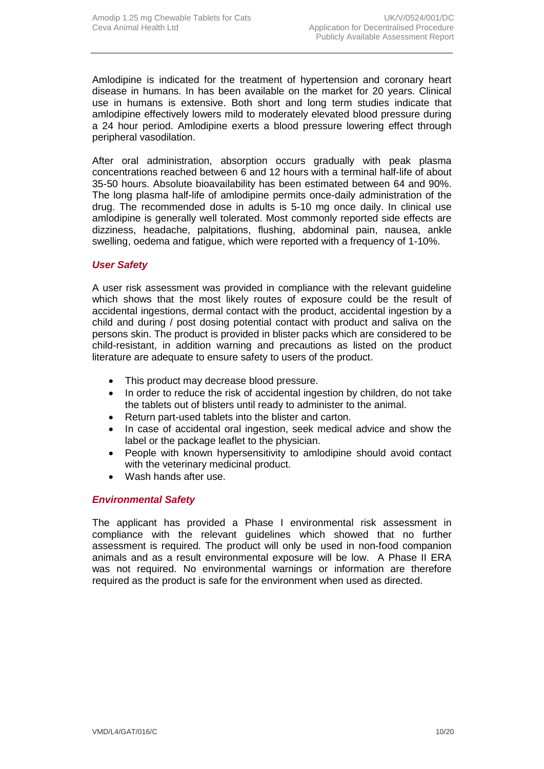Amlodipine is indicated for the treatment of hypertension and coronary heart disease in humans. In has been available on the market for 20 years. Clinical use in humans is extensive. Both short and long term studies indicate that amlodipine effectively lowers mild to moderately elevated blood pressure during a 24 hour period. Amlodipine exerts a blood pressure lowering effect through peripheral vasodilation.

After oral administration, absorption occurs gradually with peak plasma concentrations reached between 6 and 12 hours with a terminal half-life of about 35-50 hours. Absolute bioavailability has been estimated between 64 and 90%. The long plasma half-life of amlodipine permits once-daily administration of the drug. The recommended dose in adults is 5-10 mg once daily. In clinical use amlodipine is generally well tolerated. Most commonly reported side effects are dizziness, headache, palpitations, flushing, abdominal pain, nausea, ankle swelling, oedema and fatigue, which were reported with a frequency of 1-10%.

## *User Safety*

A user risk assessment was provided in compliance with the relevant guideline which shows that the most likely routes of exposure could be the result of accidental ingestions, dermal contact with the product, accidental ingestion by a child and during / post dosing potential contact with product and saliva on the persons skin. The product is provided in blister packs which are considered to be child-resistant, in addition warning and precautions as listed on the product literature are adequate to ensure safety to users of the product.

- This product may decrease blood pressure.
- In order to reduce the risk of accidental ingestion by children, do not take the tablets out of blisters until ready to administer to the animal.
- Return part-used tablets into the blister and carton.
- In case of accidental oral ingestion, seek medical advice and show the label or the package leaflet to the physician.
- People with known hypersensitivity to amlodipine should avoid contact with the veterinary medicinal product.
- Wash hands after use.

## *Environmental Safety*

The applicant has provided a Phase I environmental risk assessment in compliance with the relevant guidelines which showed that no further assessment is required. The product will only be used in non-food companion animals and as a result environmental exposure will be low. A Phase II ERA was not required. No environmental warnings or information are therefore required as the product is safe for the environment when used as directed.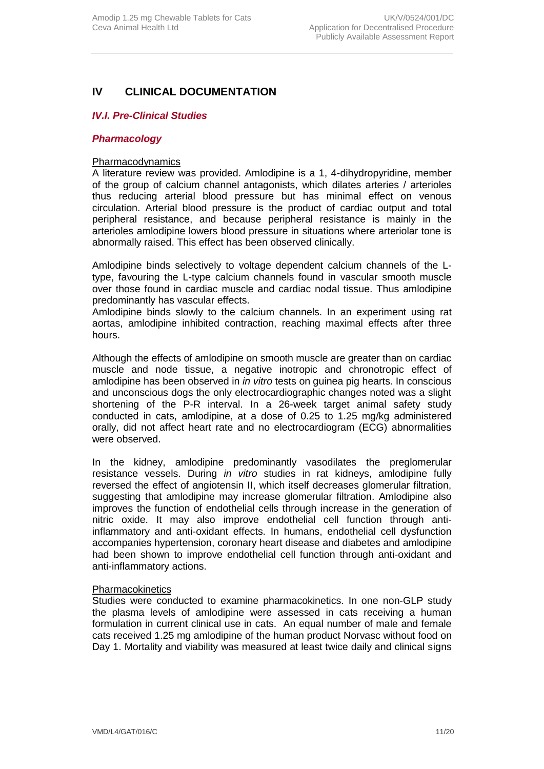## **IV CLINICAL DOCUMENTATION**

## *IV.I. Pre-Clinical Studies*

#### *Pharmacology*

#### Pharmacodynamics

A literature review was provided. Amlodipine is a 1, 4-dihydropyridine, member of the group of calcium channel antagonists, which dilates arteries / arterioles thus reducing arterial blood pressure but has minimal effect on venous circulation. Arterial blood pressure is the product of cardiac output and total peripheral resistance, and because peripheral resistance is mainly in the arterioles amlodipine lowers blood pressure in situations where arteriolar tone is abnormally raised. This effect has been observed clinically.

Amlodipine binds selectively to voltage dependent calcium channels of the Ltype, favouring the L-type calcium channels found in vascular smooth muscle over those found in cardiac muscle and cardiac nodal tissue. Thus amlodipine predominantly has vascular effects.

Amlodipine binds slowly to the calcium channels. In an experiment using rat aortas, amlodipine inhibited contraction, reaching maximal effects after three hours.

Although the effects of amlodipine on smooth muscle are greater than on cardiac muscle and node tissue, a negative inotropic and chronotropic effect of amlodipine has been observed in *in vitro* tests on guinea pig hearts. In conscious and unconscious dogs the only electrocardiographic changes noted was a slight shortening of the P-R interval. In a 26-week target animal safety study conducted in cats, amlodipine, at a dose of 0.25 to 1.25 mg/kg administered orally, did not affect heart rate and no electrocardiogram (ECG) abnormalities were observed.

In the kidney, amlodipine predominantly vasodilates the preglomerular resistance vessels. During *in vitro* studies in rat kidneys, amlodipine fully reversed the effect of angiotensin II, which itself decreases glomerular filtration, suggesting that amlodipine may increase glomerular filtration. Amlodipine also improves the function of endothelial cells through increase in the generation of nitric oxide. It may also improve endothelial cell function through antiinflammatory and anti-oxidant effects. In humans, endothelial cell dysfunction accompanies hypertension, coronary heart disease and diabetes and amlodipine had been shown to improve endothelial cell function through anti-oxidant and anti-inflammatory actions.

#### **Pharmacokinetics**

Studies were conducted to examine pharmacokinetics. In one non-GLP study the plasma levels of amlodipine were assessed in cats receiving a human formulation in current clinical use in cats. An equal number of male and female cats received 1.25 mg amlodipine of the human product Norvasc without food on Day 1. Mortality and viability was measured at least twice daily and clinical signs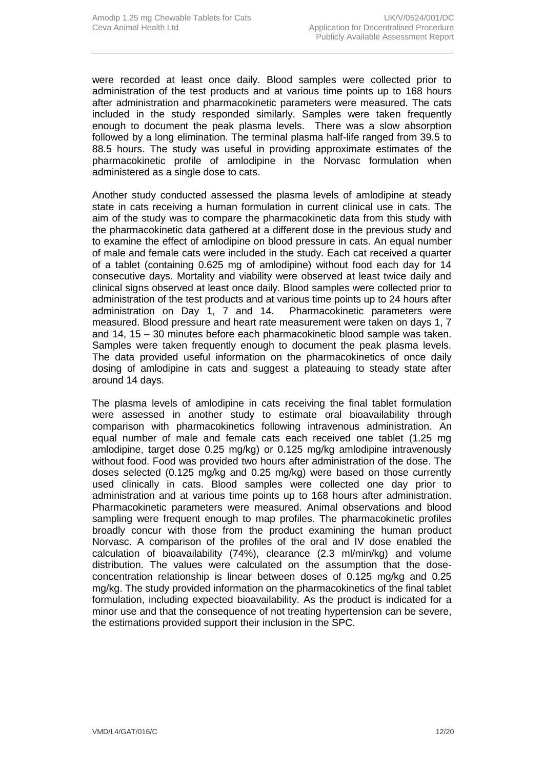were recorded at least once daily. Blood samples were collected prior to administration of the test products and at various time points up to 168 hours after administration and pharmacokinetic parameters were measured. The cats included in the study responded similarly. Samples were taken frequently enough to document the peak plasma levels. There was a slow absorption followed by a long elimination. The terminal plasma half-life ranged from 39.5 to 88.5 hours. The study was useful in providing approximate estimates of the pharmacokinetic profile of amlodipine in the Norvasc formulation when administered as a single dose to cats.

Another study conducted assessed the plasma levels of amlodipine at steady state in cats receiving a human formulation in current clinical use in cats. The aim of the study was to compare the pharmacokinetic data from this study with the pharmacokinetic data gathered at a different dose in the previous study and to examine the effect of amlodipine on blood pressure in cats. An equal number of male and female cats were included in the study. Each cat received a quarter of a tablet (containing 0.625 mg of amlodipine) without food each day for 14 consecutive days. Mortality and viability were observed at least twice daily and clinical signs observed at least once daily. Blood samples were collected prior to administration of the test products and at various time points up to 24 hours after administration on Day 1, 7 and 14. Pharmacokinetic parameters were measured. Blood pressure and heart rate measurement were taken on days 1, 7 and 14, 15 – 30 minutes before each pharmacokinetic blood sample was taken. Samples were taken frequently enough to document the peak plasma levels. The data provided useful information on the pharmacokinetics of once daily dosing of amlodipine in cats and suggest a plateauing to steady state after around 14 days.

The plasma levels of amlodipine in cats receiving the final tablet formulation were assessed in another study to estimate oral bioavailability through comparison with pharmacokinetics following intravenous administration. An equal number of male and female cats each received one tablet (1.25 mg amlodipine, target dose 0.25 mg/kg) or 0.125 mg/kg amlodipine intravenously without food. Food was provided two hours after administration of the dose. The doses selected (0.125 mg/kg and 0.25 mg/kg) were based on those currently used clinically in cats. Blood samples were collected one day prior to administration and at various time points up to 168 hours after administration. Pharmacokinetic parameters were measured. Animal observations and blood sampling were frequent enough to map profiles. The pharmacokinetic profiles broadly concur with those from the product examining the human product Norvasc. A comparison of the profiles of the oral and IV dose enabled the calculation of bioavailability (74%), clearance (2.3 ml/min/kg) and volume distribution. The values were calculated on the assumption that the doseconcentration relationship is linear between doses of 0.125 mg/kg and 0.25 mg/kg. The study provided information on the pharmacokinetics of the final tablet formulation, including expected bioavailability. As the product is indicated for a minor use and that the consequence of not treating hypertension can be severe, the estimations provided support their inclusion in the SPC.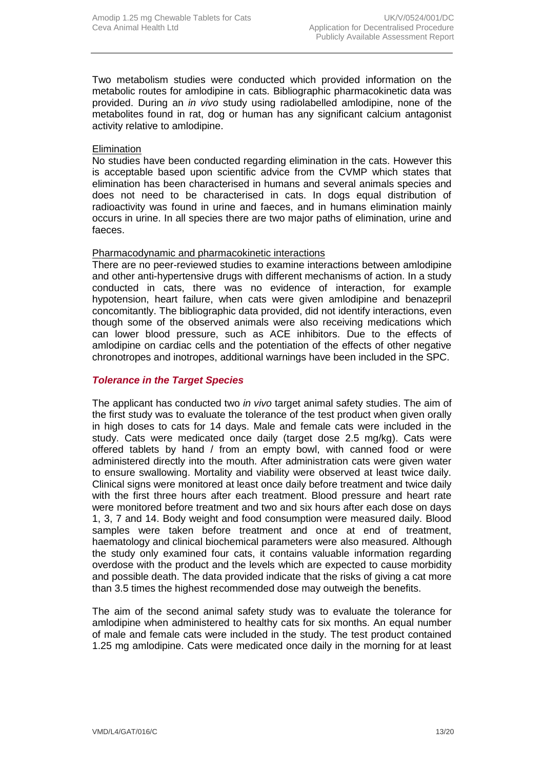Two metabolism studies were conducted which provided information on the metabolic routes for amlodipine in cats. Bibliographic pharmacokinetic data was provided. During an *in vivo* study using radiolabelled amlodipine, none of the metabolites found in rat, dog or human has any significant calcium antagonist activity relative to amlodipine.

#### **Elimination**

No studies have been conducted regarding elimination in the cats. However this is acceptable based upon scientific advice from the CVMP which states that elimination has been characterised in humans and several animals species and does not need to be characterised in cats. In dogs equal distribution of radioactivity was found in urine and faeces, and in humans elimination mainly occurs in urine. In all species there are two major paths of elimination, urine and faeces.

#### Pharmacodynamic and pharmacokinetic interactions

There are no peer-reviewed studies to examine interactions between amlodipine and other anti-hypertensive drugs with different mechanisms of action. In a study conducted in cats, there was no evidence of interaction, for example hypotension, heart failure, when cats were given amlodipine and benazepril concomitantly. The bibliographic data provided, did not identify interactions, even though some of the observed animals were also receiving medications which can lower blood pressure, such as ACE inhibitors. Due to the effects of amlodipine on cardiac cells and the potentiation of the effects of other negative chronotropes and inotropes, additional warnings have been included in the SPC.

#### *Tolerance in the Target Species*

The applicant has conducted two *in vivo* target animal safety studies. The aim of the first study was to evaluate the tolerance of the test product when given orally in high doses to cats for 14 days. Male and female cats were included in the study. Cats were medicated once daily (target dose 2.5 mg/kg). Cats were offered tablets by hand / from an empty bowl, with canned food or were administered directly into the mouth. After administration cats were given water to ensure swallowing. Mortality and viability were observed at least twice daily. Clinical signs were monitored at least once daily before treatment and twice daily with the first three hours after each treatment. Blood pressure and heart rate were monitored before treatment and two and six hours after each dose on days 1, 3, 7 and 14. Body weight and food consumption were measured daily. Blood samples were taken before treatment and once at end of treatment, haematology and clinical biochemical parameters were also measured. Although the study only examined four cats, it contains valuable information regarding overdose with the product and the levels which are expected to cause morbidity and possible death. The data provided indicate that the risks of giving a cat more than 3.5 times the highest recommended dose may outweigh the benefits.

The aim of the second animal safety study was to evaluate the tolerance for amlodipine when administered to healthy cats for six months. An equal number of male and female cats were included in the study. The test product contained 1.25 mg amlodipine. Cats were medicated once daily in the morning for at least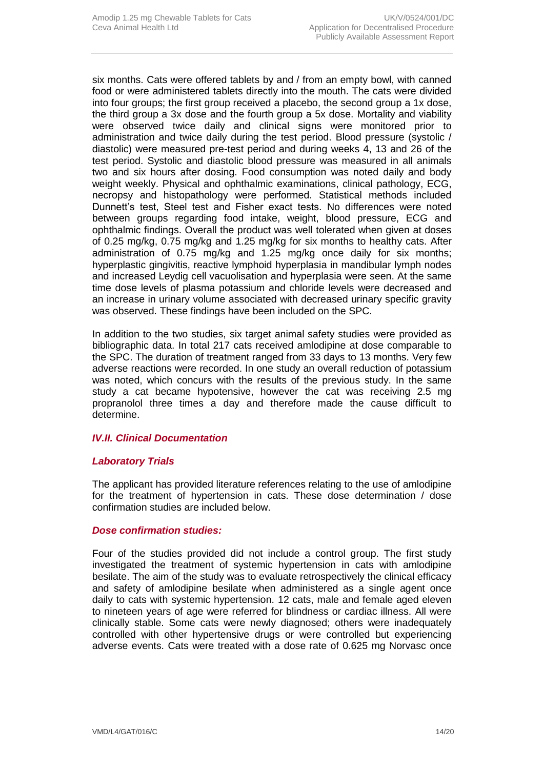six months. Cats were offered tablets by and / from an empty bowl, with canned food or were administered tablets directly into the mouth. The cats were divided into four groups; the first group received a placebo, the second group a 1x dose, the third group a 3x dose and the fourth group a 5x dose. Mortality and viability were observed twice daily and clinical signs were monitored prior to administration and twice daily during the test period. Blood pressure (systolic / diastolic) were measured pre-test period and during weeks 4, 13 and 26 of the test period. Systolic and diastolic blood pressure was measured in all animals two and six hours after dosing. Food consumption was noted daily and body weight weekly. Physical and ophthalmic examinations, clinical pathology, ECG, necropsy and histopathology were performed. Statistical methods included Dunnett's test, Steel test and Fisher exact tests. No differences were noted between groups regarding food intake, weight, blood pressure, ECG and ophthalmic findings. Overall the product was well tolerated when given at doses of 0.25 mg/kg, 0.75 mg/kg and 1.25 mg/kg for six months to healthy cats. After administration of 0.75 mg/kg and 1.25 mg/kg once daily for six months; hyperplastic gingivitis, reactive lymphoid hyperplasia in mandibular lymph nodes and increased Leydig cell vacuolisation and hyperplasia were seen. At the same time dose levels of plasma potassium and chloride levels were decreased and an increase in urinary volume associated with decreased urinary specific gravity was observed. These findings have been included on the SPC.

In addition to the two studies, six target animal safety studies were provided as bibliographic data. In total 217 cats received amlodipine at dose comparable to the SPC. The duration of treatment ranged from 33 days to 13 months. Very few adverse reactions were recorded. In one study an overall reduction of potassium was noted, which concurs with the results of the previous study. In the same study a cat became hypotensive, however the cat was receiving 2.5 mg propranolol three times a day and therefore made the cause difficult to determine.

#### *IV.II. Clinical Documentation*

#### *Laboratory Trials*

The applicant has provided literature references relating to the use of amlodipine for the treatment of hypertension in cats. These dose determination / dose confirmation studies are included below.

#### *Dose confirmation studies:*

Four of the studies provided did not include a control group. The first study investigated the treatment of systemic hypertension in cats with amlodipine besilate. The aim of the study was to evaluate retrospectively the clinical efficacy and safety of amlodipine besilate when administered as a single agent once daily to cats with systemic hypertension. 12 cats, male and female aged eleven to nineteen years of age were referred for blindness or cardiac illness. All were clinically stable. Some cats were newly diagnosed; others were inadequately controlled with other hypertensive drugs or were controlled but experiencing adverse events. Cats were treated with a dose rate of 0.625 mg Norvasc once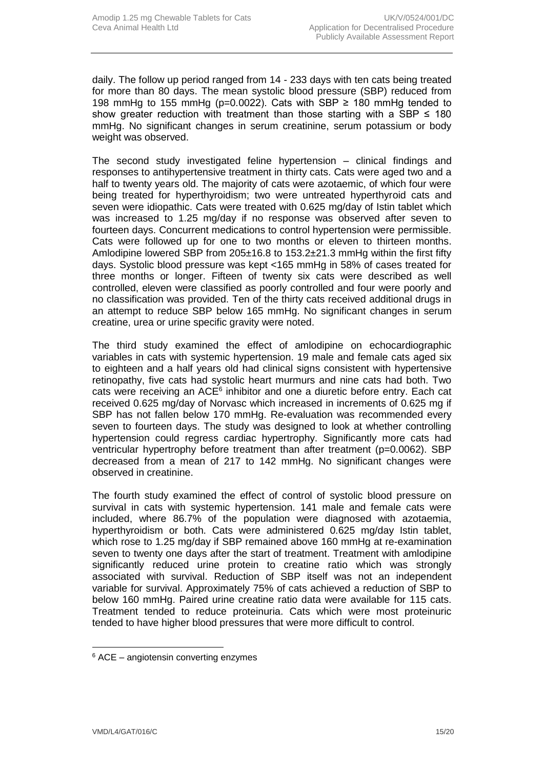daily. The follow up period ranged from 14 - 233 days with ten cats being treated for more than 80 days. The mean systolic blood pressure (SBP) reduced from 198 mmHg to 155 mmHg ( $p=0.0022$ ). Cats with SBP ≥ 180 mmHg tended to show greater reduction with treatment than those starting with a SBP  $\leq$  180 mmHg. No significant changes in serum creatinine, serum potassium or body weight was observed.

The second study investigated feline hypertension – clinical findings and responses to antihypertensive treatment in thirty cats. Cats were aged two and a half to twenty years old. The majority of cats were azotaemic, of which four were being treated for hyperthyroidism; two were untreated hyperthyroid cats and seven were idiopathic. Cats were treated with 0.625 mg/day of Istin tablet which was increased to 1.25 mg/day if no response was observed after seven to fourteen days. Concurrent medications to control hypertension were permissible. Cats were followed up for one to two months or eleven to thirteen months. Amlodipine lowered SBP from 205±16.8 to 153.2±21.3 mmHg within the first fifty days. Systolic blood pressure was kept <165 mmHg in 58% of cases treated for three months or longer. Fifteen of twenty six cats were described as well controlled, eleven were classified as poorly controlled and four were poorly and no classification was provided. Ten of the thirty cats received additional drugs in an attempt to reduce SBP below 165 mmHg. No significant changes in serum creatine, urea or urine specific gravity were noted.

The third study examined the effect of amlodipine on echocardiographic variables in cats with systemic hypertension. 19 male and female cats aged six to eighteen and a half years old had clinical signs consistent with hypertensive retinopathy, five cats had systolic heart murmurs and nine cats had both. Two cats were receiving an ACE<sup>6</sup> inhibitor and one a diuretic before entry. Each cat received 0.625 mg/day of Norvasc which increased in increments of 0.625 mg if SBP has not fallen below 170 mmHg. Re-evaluation was recommended every seven to fourteen days. The study was designed to look at whether controlling hypertension could regress cardiac hypertrophy. Significantly more cats had ventricular hypertrophy before treatment than after treatment (p=0.0062). SBP decreased from a mean of 217 to 142 mmHg. No significant changes were observed in creatinine.

The fourth study examined the effect of control of systolic blood pressure on survival in cats with systemic hypertension. 141 male and female cats were included, where 86.7% of the population were diagnosed with azotaemia, hyperthyroidism or both. Cats were administered 0.625 mg/day Istin tablet, which rose to 1.25 mg/day if SBP remained above 160 mmHg at re-examination seven to twenty one days after the start of treatment. Treatment with amlodipine significantly reduced urine protein to creatine ratio which was strongly associated with survival. Reduction of SBP itself was not an independent variable for survival. Approximately 75% of cats achieved a reduction of SBP to below 160 mmHg. Paired urine creatine ratio data were available for 115 cats. Treatment tended to reduce proteinuria. Cats which were most proteinuric tended to have higher blood pressures that were more difficult to control.

<sup>6</sup> ACE – angiotensin converting enzymes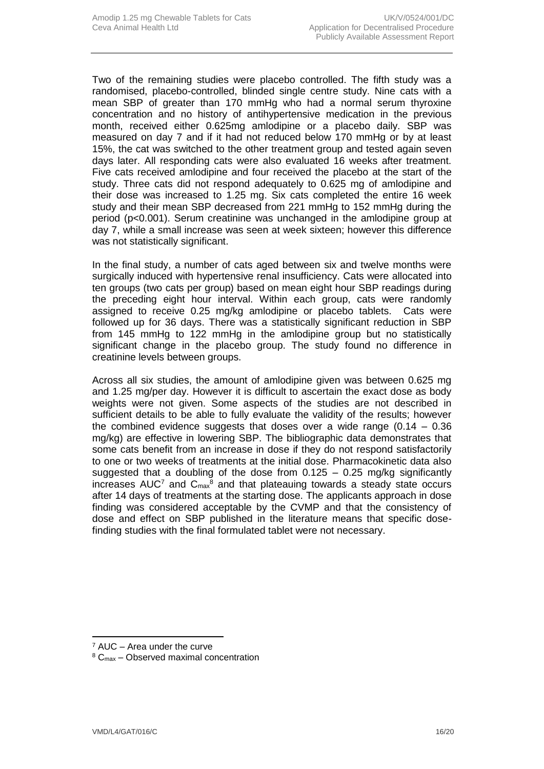Two of the remaining studies were placebo controlled. The fifth study was a randomised, placebo-controlled, blinded single centre study. Nine cats with a mean SBP of greater than 170 mmHg who had a normal serum thyroxine concentration and no history of antihypertensive medication in the previous month, received either 0.625mg amlodipine or a placebo daily. SBP was measured on day 7 and if it had not reduced below 170 mmHg or by at least 15%, the cat was switched to the other treatment group and tested again seven days later. All responding cats were also evaluated 16 weeks after treatment. Five cats received amlodipine and four received the placebo at the start of the study. Three cats did not respond adequately to 0.625 mg of amlodipine and their dose was increased to 1.25 mg. Six cats completed the entire 16 week study and their mean SBP decreased from 221 mmHg to 152 mmHg during the period (p<0.001). Serum creatinine was unchanged in the amlodipine group at day 7, while a small increase was seen at week sixteen; however this difference was not statistically significant.

In the final study, a number of cats aged between six and twelve months were surgically induced with hypertensive renal insufficiency. Cats were allocated into ten groups (two cats per group) based on mean eight hour SBP readings during the preceding eight hour interval. Within each group, cats were randomly assigned to receive 0.25 mg/kg amlodipine or placebo tablets. Cats were followed up for 36 days. There was a statistically significant reduction in SBP from 145 mmHg to 122 mmHg in the amlodipine group but no statistically significant change in the placebo group. The study found no difference in creatinine levels between groups.

Across all six studies, the amount of amlodipine given was between 0.625 mg and 1.25 mg/per day. However it is difficult to ascertain the exact dose as body weights were not given. Some aspects of the studies are not described in sufficient details to be able to fully evaluate the validity of the results; however the combined evidence suggests that doses over a wide range  $(0.14 - 0.36)$ mg/kg) are effective in lowering SBP. The bibliographic data demonstrates that some cats benefit from an increase in dose if they do not respond satisfactorily to one or two weeks of treatments at the initial dose. Pharmacokinetic data also suggested that a doubling of the dose from  $0.125 - 0.25$  mg/kg significantly increases  $AUC<sup>7</sup>$  and  $C<sub>max</sub><sup>8</sup>$  and that plateauing towards a steady state occurs after 14 days of treatments at the starting dose. The applicants approach in dose finding was considered acceptable by the CVMP and that the consistency of dose and effect on SBP published in the literature means that specific dosefinding studies with the final formulated tablet were not necessary.

<sup>7</sup> AUC – Area under the curve

<sup>8</sup> Cmax – Observed maximal concentration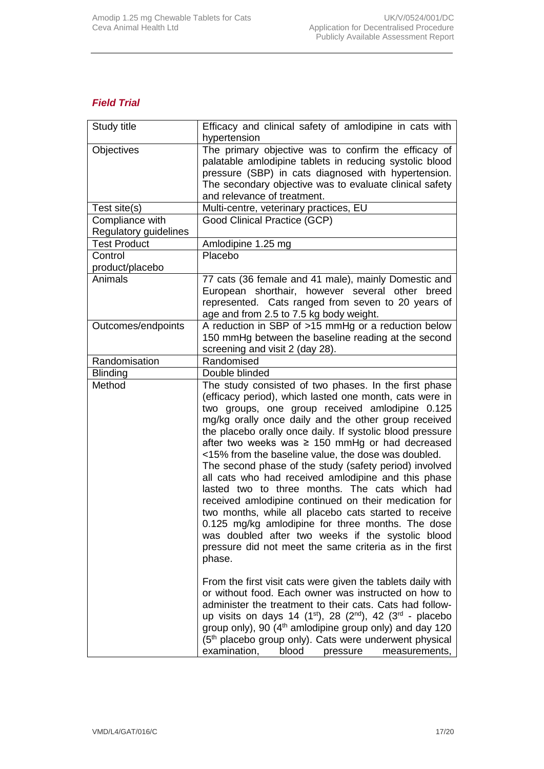## *Field Trial*

| Study title                              | Efficacy and clinical safety of amlodipine in cats with<br>hypertension                                                                                                                                                                                                                                                                                                                                                                                                                                                                                                                                                                                                                                                                                                                                                                                                     |
|------------------------------------------|-----------------------------------------------------------------------------------------------------------------------------------------------------------------------------------------------------------------------------------------------------------------------------------------------------------------------------------------------------------------------------------------------------------------------------------------------------------------------------------------------------------------------------------------------------------------------------------------------------------------------------------------------------------------------------------------------------------------------------------------------------------------------------------------------------------------------------------------------------------------------------|
| Objectives                               | The primary objective was to confirm the efficacy of<br>palatable amlodipine tablets in reducing systolic blood<br>pressure (SBP) in cats diagnosed with hypertension.<br>The secondary objective was to evaluate clinical safety<br>and relevance of treatment.                                                                                                                                                                                                                                                                                                                                                                                                                                                                                                                                                                                                            |
| Test site(s)                             | Multi-centre, veterinary practices, EU                                                                                                                                                                                                                                                                                                                                                                                                                                                                                                                                                                                                                                                                                                                                                                                                                                      |
| Compliance with<br>Regulatory guidelines | Good Clinical Practice (GCP)                                                                                                                                                                                                                                                                                                                                                                                                                                                                                                                                                                                                                                                                                                                                                                                                                                                |
| <b>Test Product</b>                      | Amlodipine 1.25 mg                                                                                                                                                                                                                                                                                                                                                                                                                                                                                                                                                                                                                                                                                                                                                                                                                                                          |
| Control<br>product/placebo               | Placebo                                                                                                                                                                                                                                                                                                                                                                                                                                                                                                                                                                                                                                                                                                                                                                                                                                                                     |
| Animals                                  | 77 cats (36 female and 41 male), mainly Domestic and<br>European shorthair, however several other breed<br>represented. Cats ranged from seven to 20 years of<br>age and from 2.5 to 7.5 kg body weight.                                                                                                                                                                                                                                                                                                                                                                                                                                                                                                                                                                                                                                                                    |
| Outcomes/endpoints                       | A reduction in SBP of >15 mmHg or a reduction below<br>150 mmHg between the baseline reading at the second<br>screening and visit 2 (day 28).                                                                                                                                                                                                                                                                                                                                                                                                                                                                                                                                                                                                                                                                                                                               |
| Randomisation                            | Randomised                                                                                                                                                                                                                                                                                                                                                                                                                                                                                                                                                                                                                                                                                                                                                                                                                                                                  |
| <b>Blinding</b>                          | Double blinded                                                                                                                                                                                                                                                                                                                                                                                                                                                                                                                                                                                                                                                                                                                                                                                                                                                              |
| Method                                   | The study consisted of two phases. In the first phase<br>(efficacy period), which lasted one month, cats were in<br>two groups, one group received amlodipine 0.125<br>mg/kg orally once daily and the other group received<br>the placebo orally once daily. If systolic blood pressure<br>after two weeks was $\geq$ 150 mmHg or had decreased<br><15% from the baseline value, the dose was doubled.<br>The second phase of the study (safety period) involved<br>all cats who had received amlodipine and this phase<br>lasted two to three months. The cats which had<br>received amlodipine continued on their medication for<br>two months, while all placebo cats started to receive<br>0.125 mg/kg amlodipine for three months. The dose<br>was doubled after two weeks if the systolic blood<br>pressure did not meet the same criteria as in the first<br>phase. |
|                                          | From the first visit cats were given the tablets daily with<br>or without food. Each owner was instructed on how to<br>administer the treatment to their cats. Cats had follow-<br>up visits on days 14 (1st), 28 (2nd), 42 (3rd - placebo<br>group only), 90 (4 <sup>th</sup> amlodipine group only) and day 120<br>(5 <sup>th</sup> placebo group only). Cats were underwent physical<br>examination,<br>blood<br>pressure<br>measurements,                                                                                                                                                                                                                                                                                                                                                                                                                               |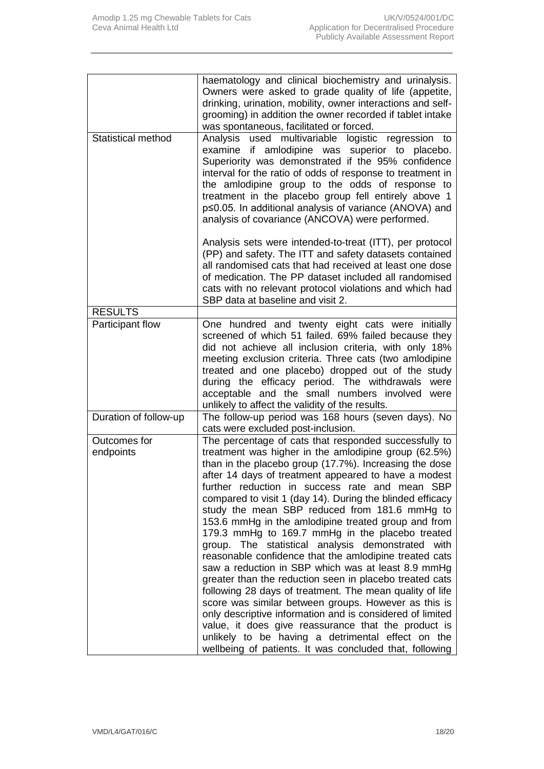|                           | haematology and clinical biochemistry and urinalysis.<br>Owners were asked to grade quality of life (appetite,<br>drinking, urination, mobility, owner interactions and self-<br>grooming) in addition the owner recorded if tablet intake<br>was spontaneous, facilitated or forced.                                                                                                                                                                                                                                                                                                                                                                                                                                                                                                                                                                                                                                                                                                                                                                                                             |
|---------------------------|---------------------------------------------------------------------------------------------------------------------------------------------------------------------------------------------------------------------------------------------------------------------------------------------------------------------------------------------------------------------------------------------------------------------------------------------------------------------------------------------------------------------------------------------------------------------------------------------------------------------------------------------------------------------------------------------------------------------------------------------------------------------------------------------------------------------------------------------------------------------------------------------------------------------------------------------------------------------------------------------------------------------------------------------------------------------------------------------------|
| <b>Statistical method</b> | Analysis<br>used multivariable logistic regression to<br>examine if amlodipine was superior to placebo.<br>Superiority was demonstrated if the 95% confidence<br>interval for the ratio of odds of response to treatment in<br>the amlodipine group to the odds of response to<br>treatment in the placebo group fell entirely above 1<br>p≤0.05. In additional analysis of variance (ANOVA) and<br>analysis of covariance (ANCOVA) were performed.                                                                                                                                                                                                                                                                                                                                                                                                                                                                                                                                                                                                                                               |
|                           | Analysis sets were intended-to-treat (ITT), per protocol<br>(PP) and safety. The ITT and safety datasets contained<br>all randomised cats that had received at least one dose<br>of medication. The PP dataset included all randomised<br>cats with no relevant protocol violations and which had<br>SBP data at baseline and visit 2.                                                                                                                                                                                                                                                                                                                                                                                                                                                                                                                                                                                                                                                                                                                                                            |
| <b>RESULTS</b>            |                                                                                                                                                                                                                                                                                                                                                                                                                                                                                                                                                                                                                                                                                                                                                                                                                                                                                                                                                                                                                                                                                                   |
| Participant flow          | One hundred and twenty eight cats were initially<br>screened of which 51 failed. 69% failed because they<br>did not achieve all inclusion criteria, with only 18%<br>meeting exclusion criteria. Three cats (two amlodipine<br>treated and one placebo) dropped out of the study<br>during the efficacy period. The withdrawals were<br>acceptable and the small numbers involved were<br>unlikely to affect the validity of the results.                                                                                                                                                                                                                                                                                                                                                                                                                                                                                                                                                                                                                                                         |
| Duration of follow-up     | The follow-up period was 168 hours (seven days). No<br>cats were excluded post-inclusion.                                                                                                                                                                                                                                                                                                                                                                                                                                                                                                                                                                                                                                                                                                                                                                                                                                                                                                                                                                                                         |
| Outcomes for<br>endpoints | The percentage of cats that responded successfully to<br>treatment was higher in the amlodipine group (62.5%)<br>than in the placebo group (17.7%). Increasing the dose<br>after 14 days of treatment appeared to have a modest<br>further reduction in success rate and mean SBP<br>compared to visit 1 (day 14). During the blinded efficacy<br>study the mean SBP reduced from 181.6 mmHg to<br>153.6 mmHg in the amlodipine treated group and from<br>179.3 mmHg to 169.7 mmHg in the placebo treated<br>group. The statistical analysis demonstrated with<br>reasonable confidence that the amlodipine treated cats<br>saw a reduction in SBP which was at least 8.9 mmHg<br>greater than the reduction seen in placebo treated cats<br>following 28 days of treatment. The mean quality of life<br>score was similar between groups. However as this is<br>only descriptive information and is considered of limited<br>value, it does give reassurance that the product is<br>unlikely to be having a detrimental effect on the<br>wellbeing of patients. It was concluded that, following |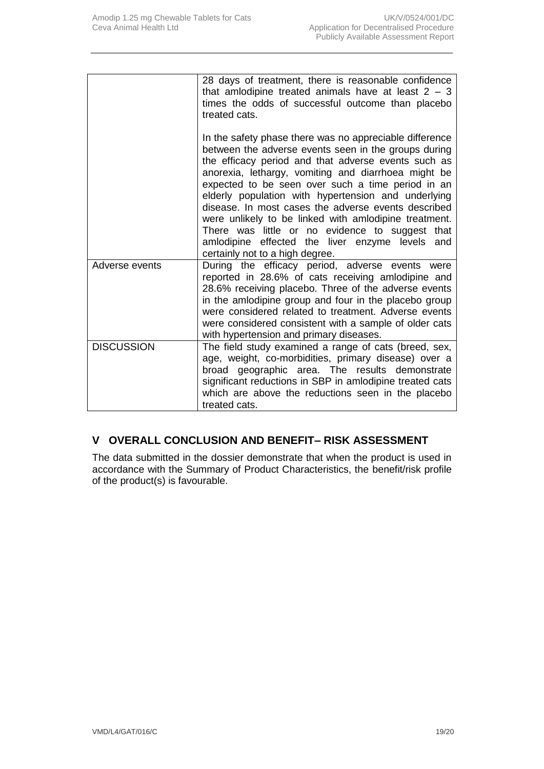|                   | 28 days of treatment, there is reasonable confidence<br>that amlodipine treated animals have at least $2 - 3$<br>times the odds of successful outcome than placebo<br>treated cats.                                                                                                                                                                                                                                                                                                                                                                                                                |
|-------------------|----------------------------------------------------------------------------------------------------------------------------------------------------------------------------------------------------------------------------------------------------------------------------------------------------------------------------------------------------------------------------------------------------------------------------------------------------------------------------------------------------------------------------------------------------------------------------------------------------|
|                   | In the safety phase there was no appreciable difference<br>between the adverse events seen in the groups during<br>the efficacy period and that adverse events such as<br>anorexia, lethargy, vomiting and diarrhoea might be<br>expected to be seen over such a time period in an<br>elderly population with hypertension and underlying<br>disease. In most cases the adverse events described<br>were unlikely to be linked with amlodipine treatment.<br>There was little or no evidence to suggest that<br>amlodipine effected the liver enzyme levels and<br>certainly not to a high degree. |
| Adverse events    | During the efficacy period, adverse events were<br>reported in 28.6% of cats receiving amlodipine and<br>28.6% receiving placebo. Three of the adverse events<br>in the amlodipine group and four in the placebo group<br>were considered related to treatment. Adverse events<br>were considered consistent with a sample of older cats<br>with hypertension and primary diseases.                                                                                                                                                                                                                |
| <b>DISCUSSION</b> | The field study examined a range of cats (breed, sex,<br>age, weight, co-morbidities, primary disease) over a<br>broad geographic area. The results demonstrate<br>significant reductions in SBP in amlodipine treated cats<br>which are above the reductions seen in the placebo<br>treated cats.                                                                                                                                                                                                                                                                                                 |

## **V OVERALL CONCLUSION AND BENEFIT– RISK ASSESSMENT**

The data submitted in the dossier demonstrate that when the product is used in accordance with the Summary of Product Characteristics, the benefit/risk profile of the product(s) is favourable.